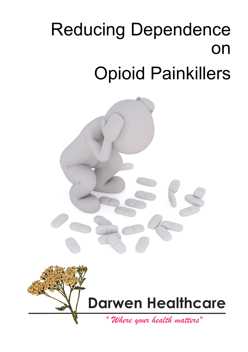# Reducing Dependence on Opioid Painkillers

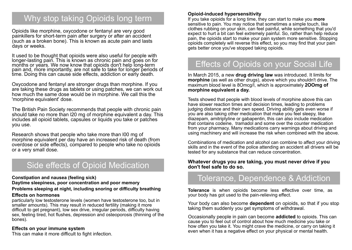### Why stop taking Opioids long term

Opioids like morphine, oxycodone or fentanyl are very good painkillers for short-term pain after surgery or after an accident (such as a broken bone). This is known as acute pain and lasts days or weeks.

It used to be thought that opioids were also useful for people with longer-lasting pain. This is known as chronic pain and goes on for months or years. We now know that opioids don't help long-term pain and, more importantly, are not safe to take for longer periods of time. Doing this can cause side effects, addiction or early death.

Oxycodone and fentanyl are stronger drugs than morphine. If you are taking these drugs as tablets or using patches, we can work out how much the same dose would be in morphine. We call this the 'morphine equivalent' dose.

The British Pain Society recommends that people with chronic pain should take no more than l20 mg of morphine equivalent a day. This includes all opioid tablets, capsules or liquids you take or patches you use.

Research shows that people who take more than l00 mg of morphine equivalent per day have an increased risk of death (from overdose or side effects), compared to people who take no opioids or a very small dose.

### Side effects of Opioid Medication

### **Constipation and nausea (feeling sick)**

**Daytime sleepiness, poor concentration and poor memory**

### **Problems sleeping at night, including snoring or difficulty breathing Effects on hormones**

particularly low testosterone levels (women have testosterone too, but in smaller amounts). This may result in reduced fertility (making it more difficult to get pregnant), low sex drive, irregular periods, difficulty having sex, feeling tired, hot flushes, depression and osteoporosis (thinning of the bones).

### **Effects on your immune system**

This can make it more difficult to fight infection.

### **Opioid-induced hypersensitivity**

If you take opioids for a long time, they can start to make you **more** sensitive to pain. You may notice that sometimes a simple touch, like clothes rubbing on your skin, can feel painful, while something that you'd expect to hurt a bit can feel extremely painful. So, rather than help reduce pain, the opioids start to make your pain system more sensitive. Stopping opioids completely will reverse this effect, so you may find that your pain gets better once you've stopped taking opioids.

### Effects of Opioids on your Social Life

In March 2015, a new **drug driving law** was introduced. It limits for **morphine** (as well as other drugs), above which you shouldn't drive. The maximum blood level is 8Omcg/I, which is approximately **2OOmg of morphine equivalent a day.**

Tests showed that people with blood levels of morphine above this can have slower reaction times and decision times, leading to problems judging distance and their own speed. Driving ability gets even worse if you are also taking other medication that make you feel sleepy, like diazepam, amitriptyline or gabapentin, this can also include medication that contains codeine, tramadol and some over the counter medication from your pharmacy. Many medications carry warnings about driving and using machinery and will increase the risk when combined with the above.

Combinations of medication and alcohol can combine to affect your driving skills and in the event of the police attending an accident all drivers will be tested for any substance that can reduce concentration.

#### **Whatever drugs you are taking, you must never drive if you don't feel safe to do so.**

### Tolerance, Dependence & Addiction

**Tolerance** is when opioids become less effective over time, as your body has got used to the pain-relieving effect.

Your body can also become **dependent** on opioids, so that if you stop taking them suddenly you get symptoms of withdrawal.

Occasionally people in pain can become **addicted** to opioids. This can cause you to feel out of control about how much medicine you take or how often you take it. You might crave the medicine, or carry on taking it even when it has a negative effect on your physical or mental health.